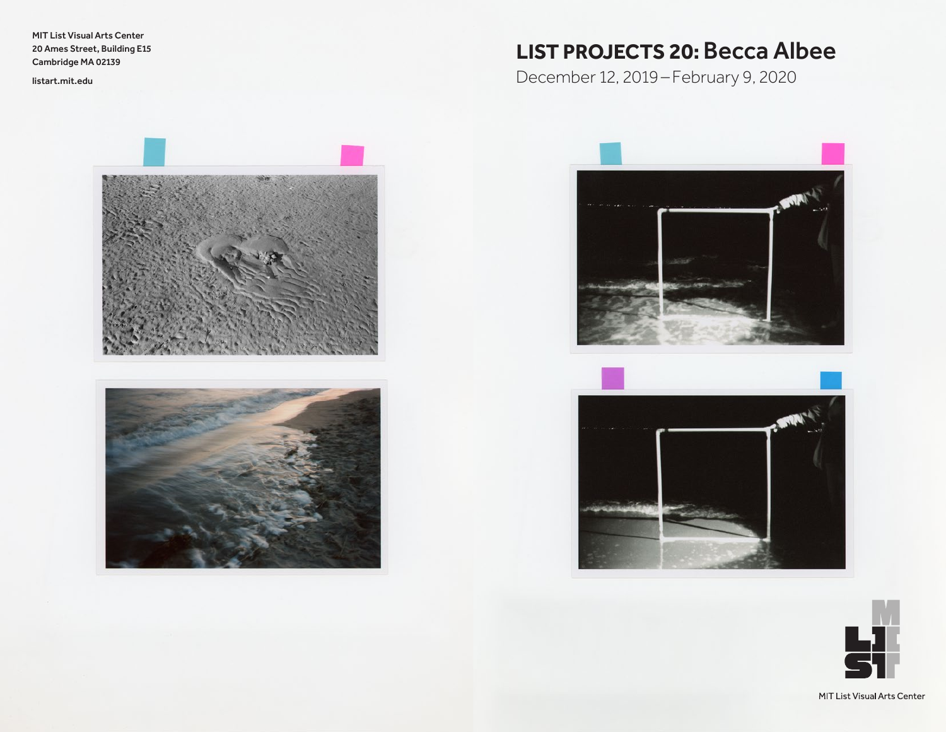MIT List Visual Arts Center 20 Ames Street, Building E15 Cambridge MA 02139

<listart.mit.edu>





# **LI ST PR OJEC T S 20:** Becca Albee

December 12, 2019 –February 9, 2020